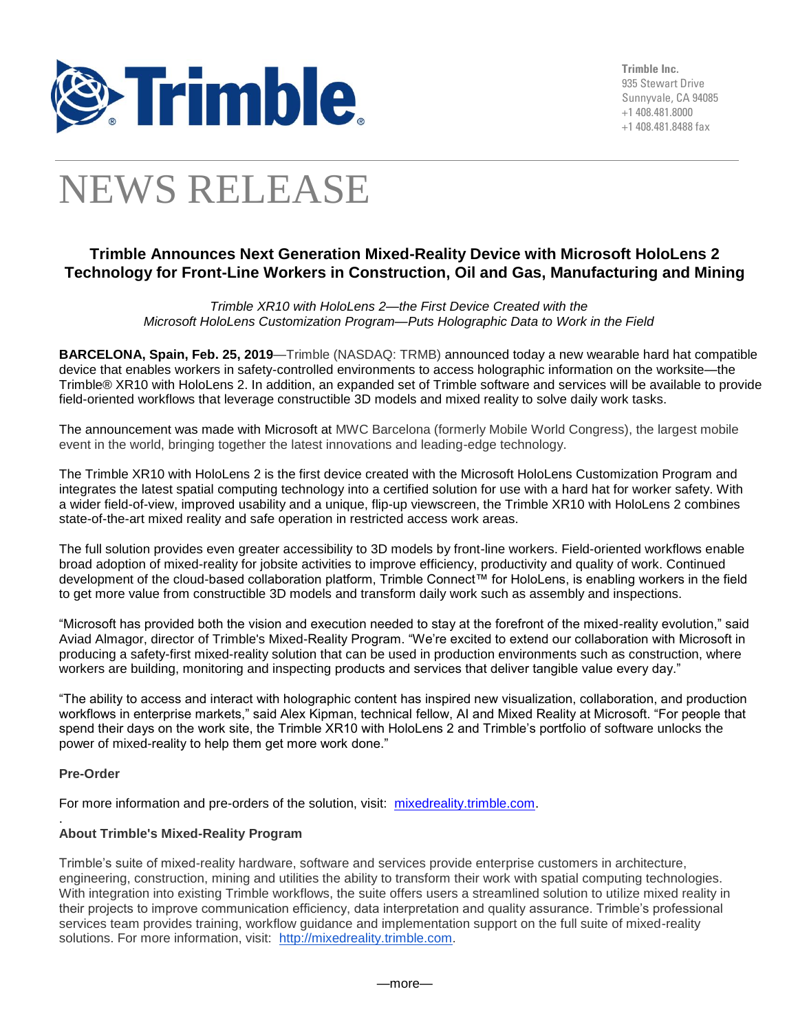

**Trimble Inc.** 935 Stewart Drive Sunnyvale, CA 94085 +1 408.481.8000 +1 408.481.8488 fax

# NEWS RELEASE

## **Trimble Announces Next Generation Mixed-Reality Device with Microsoft HoloLens 2 Technology for Front-Line Workers in Construction, Oil and Gas, Manufacturing and Mining**

*Trimble XR10 with HoloLens 2—the First Device Created with the Microsoft HoloLens Customization Program—Puts Holographic Data to Work in the Field*

**BARCELONA, Spain, Feb. 25, 2019**—Trimble (NASDAQ: TRMB) announced today a new wearable hard hat compatible device that enables workers in safety-controlled environments to access holographic information on the worksite—the Trimble® XR10 with HoloLens 2. In addition, an expanded set of Trimble software and services will be available to provide field-oriented workflows that leverage constructible 3D models and mixed reality to solve daily work tasks.

The announcement was made with Microsoft at MWC Barcelona (formerly Mobile World Congress), the largest mobile event in the world, bringing together the latest innovations and leading-edge technology.

The Trimble XR10 with HoloLens 2 is the first device created with the Microsoft HoloLens Customization Program and integrates the latest spatial computing technology into a certified solution for use with a hard hat for worker safety. With a wider field-of-view, improved usability and a unique, flip-up viewscreen, the Trimble XR10 with HoloLens 2 combines state-of-the-art mixed reality and safe operation in restricted access work areas.

The full solution provides even greater accessibility to 3D models by front-line workers. Field-oriented workflows enable broad adoption of mixed-reality for jobsite activities to improve efficiency, productivity and quality of work. Continued development of the cloud-based collaboration platform, Trimble Connect™ for HoloLens, is enabling workers in the field to get more value from constructible 3D models and transform daily work such as assembly and inspections.

"Microsoft has provided both the vision and execution needed to stay at the forefront of the mixed-reality evolution," said Aviad Almagor, director of Trimble's Mixed-Reality Program. "We're excited to extend our collaboration with Microsoft in producing a safety-first mixed-reality solution that can be used in production environments such as construction, where workers are building, monitoring and inspecting products and services that deliver tangible value every day."

"The ability to access and interact with holographic content has inspired new visualization, collaboration, and production workflows in enterprise markets," said Alex Kipman, technical fellow, AI and Mixed Reality at Microsoft. "For people that spend their days on the work site, the Trimble XR10 with HoloLens 2 and Trimble's portfolio of software unlocks the power of mixed-reality to help them get more work done."

### **Pre-Order**

For more information and pre-orders of the solution, visit: [mixedreality.trimble.com.](https://mixedreality.trimble.com/)

#### . **About Trimble's Mixed-Reality Program**

Trimble's suite of mixed-reality hardware, software and services provide enterprise customers in architecture, engineering, construction, mining and utilities the ability to transform their work with spatial computing technologies. With integration into existing Trimble workflows, the suite offers users a streamlined solution to utilize mixed reality in their projects to improve communication efficiency, data interpretation and quality assurance. Trimble's professional services team provides training, workflow guidance and implementation support on the full suite of mixed-reality solutions. For more information, visit: [http://mixedreality.trimble.com.](http://mixedreality.trimble.com/)